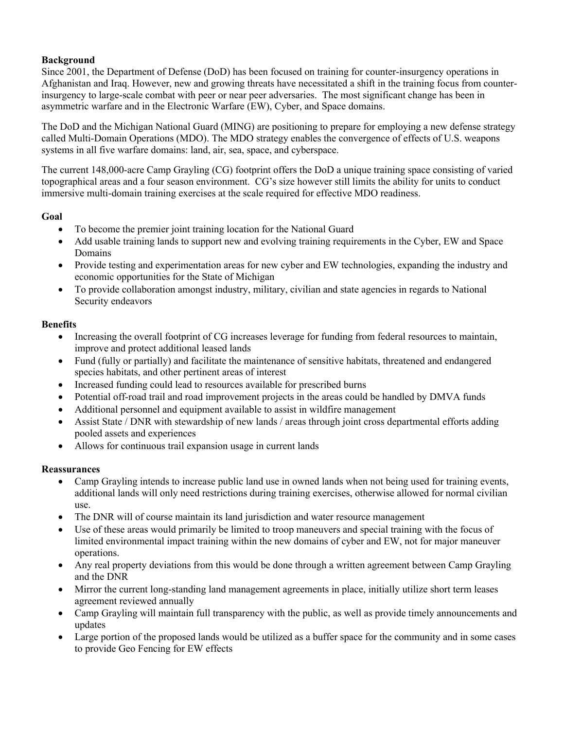# **Background**

Since 2001, the Department of Defense (DoD) has been focused on training for counter-insurgency operations in Afghanistan and Iraq. However, new and growing threats have necessitated a shift in the training focus from counterinsurgency to large-scale combat with peer or near peer adversaries. The most significant change has been in asymmetric warfare and in the Electronic Warfare (EW), Cyber, and Space domains.

The DoD and the Michigan National Guard (MING) are positioning to prepare for employing a new defense strategy called Multi-Domain Operations (MDO). The MDO strategy enables the convergence of effects of U.S. weapons systems in all five warfare domains: land, air, sea, space, and cyberspace.

The current 148,000-acre Camp Grayling (CG) footprint offers the DoD a unique training space consisting of varied topographical areas and a four season environment. CG's size however still limits the ability for units to conduct immersive multi-domain training exercises at the scale required for effective MDO readiness.

# **Goal**

- To become the premier joint training location for the National Guard
- Add usable training lands to support new and evolving training requirements in the Cyber, EW and Space Domains
- Provide testing and experimentation areas for new cyber and EW technologies, expanding the industry and economic opportunities for the State of Michigan
- To provide collaboration amongst industry, military, civilian and state agencies in regards to National Security endeavors

# **Benefits**

- Increasing the overall footprint of CG increases leverage for funding from federal resources to maintain, improve and protect additional leased lands
- Fund (fully or partially) and facilitate the maintenance of sensitive habitats, threatened and endangered species habitats, and other pertinent areas of interest
- Increased funding could lead to resources available for prescribed burns
- Potential off-road trail and road improvement projects in the areas could be handled by DMVA funds
- Additional personnel and equipment available to assist in wildfire management
- Assist State / DNR with stewardship of new lands / areas through joint cross departmental efforts adding pooled assets and experiences
- Allows for continuous trail expansion usage in current lands

# **Reassurances**

- Camp Grayling intends to increase public land use in owned lands when not being used for training events, additional lands will only need restrictions during training exercises, otherwise allowed for normal civilian use.
- The DNR will of course maintain its land jurisdiction and water resource management
- Use of these areas would primarily be limited to troop maneuvers and special training with the focus of limited environmental impact training within the new domains of cyber and EW, not for major maneuver operations.
- Any real property deviations from this would be done through a written agreement between Camp Grayling and the DNR
- Mirror the current long-standing land management agreements in place, initially utilize short term leases agreement reviewed annually
- Camp Grayling will maintain full transparency with the public, as well as provide timely announcements and updates
- Large portion of the proposed lands would be utilized as a buffer space for the community and in some cases to provide Geo Fencing for EW effects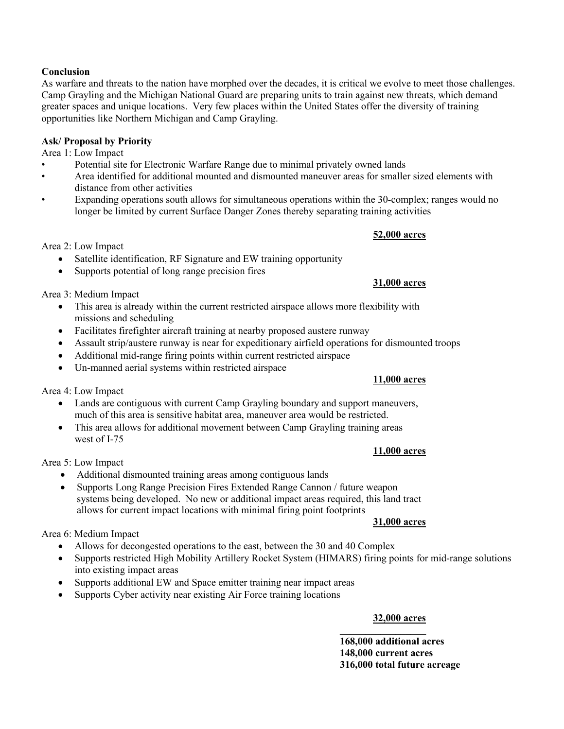# **Conclusion**

As warfare and threats to the nation have morphed over the decades, it is critical we evolve to meet those challenges. Camp Grayling and the Michigan National Guard are preparing units to train against new threats, which demand greater spaces and unique locations. Very few places within the United States offer the diversity of training opportunities like Northern Michigan and Camp Grayling.

# **Ask/ Proposal by Priority**

Area 1: Low Impact

- Potential site for Electronic Warfare Range due to minimal privately owned lands
- Area identified for additional mounted and dismounted maneuver areas for smaller sized elements with distance from other activities
- Expanding operations south allows for simultaneous operations within the 30-complex; ranges would no longer be limited by current Surface Danger Zones thereby separating training activities

**52,000 acres**

Area 2: Low Impact

- Satellite identification, RF Signature and EW training opportunity
- Supports potential of long range precision fires

Area 3: Medium Impact

- This area is already within the current restricted airspace allows more flexibility with missions and scheduling
- Facilitates firefighter aircraft training at nearby proposed austere runway
- Assault strip/austere runway is near for expeditionary airfield operations for dismounted troops
- Additional mid-range firing points within current restricted airspace
- Un-manned aerial systems within restricted airspace

Area 4: Low Impact

- Lands are contiguous with current Camp Grayling boundary and support maneuvers, much of this area is sensitive habitat area, maneuver area would be restricted.
- This area allows for additional movement between Camp Grayling training areas west of I-75

Area 5: Low Impact

- Additional dismounted training areas among contiguous lands
- Supports Long Range Precision Fires Extended Range Cannon / future weapon systems being developed. No new or additional impact areas required, this land tract allows for current impact locations with minimal firing point footprints

#### **31,000 acres**

Area 6: Medium Impact

- Allows for decongested operations to the east, between the 30 and 40 Complex
- Supports restricted High Mobility Artillery Rocket System (HIMARS) firing points for mid-range solutions into existing impact areas
- Supports additional EW and Space emitter training near impact areas
- Supports Cyber activity near existing Air Force training locations

### **32,000 acres**

**\_\_\_\_\_\_\_\_\_\_\_\_\_\_\_\_\_**

**168,000 additional acres 148,000 current acres 316,000 total future acreage**

# **31,000 acres**

# **11,000 acres**

**11,000 acres**